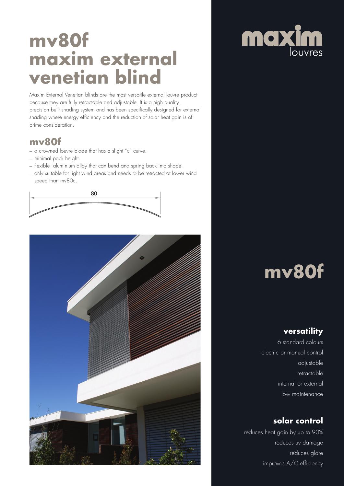## **mv80f maxim external venetian blind**

Maxim External Venetian blinds are the most versatile external louvre product because they are fully retractable and adjustable. It is a high quality, precision built shading system and has been specifically designed for external shading where energy efficiency and the reduction of solar heat gain is of prime consideration.

### **mv80f**

- a crowned louvre blade that has a slight "c" curve.
- minimal pack height.
- flexible aluminium alloy that can bend and spring back into shape.
- only suitable for light wind areas and needs to be retracted at lower wind speed than mv80c.





### maxi louvres

# **mv80f**

### **versatility**

6 standard colours electric or manual control adjustable retractable internal or external low maintenance

### **solar control**

reduces heat gain by up to 90% reduces uv damage reduces glare improves A/C efficiency